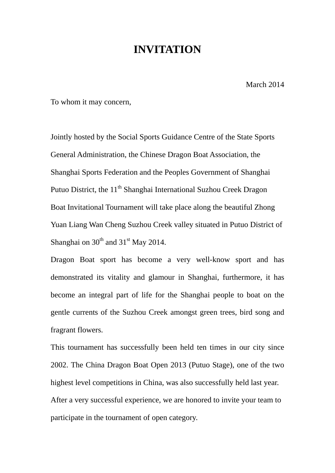## **INVITATION**

March 2014

To whom it may concern,

Jointly hosted by the Social Sports Guidance Centre of the State Sports General Administration, the Chinese Dragon Boat Association, the Shanghai Sports Federation and the Peoples Government of Shanghai Putuo District, the 11<sup>th</sup> Shanghai International Suzhou Creek Dragon Boat Invitational Tournament will take place along the beautiful Zhong Yuan Liang Wan Cheng Suzhou Creek valley situated in Putuo District of Shanghai on  $30<sup>th</sup>$  and  $31<sup>st</sup>$  May 2014.

Dragon Boat sport has become a very well-know sport and has demonstrated its vitality and glamour in Shanghai, furthermore, it has become an integral part of life for the Shanghai people to boat on the gentle currents of the Suzhou Creek amongst green trees, bird song and fragrant flowers.

This tournament has successfully been held ten times in our city since 2002. The China Dragon Boat Open 2013 (Putuo Stage), one of the two highest level competitions in China, was also successfully held last year. After a very successful experience, we are honored to invite your team to participate in the tournament of open category.